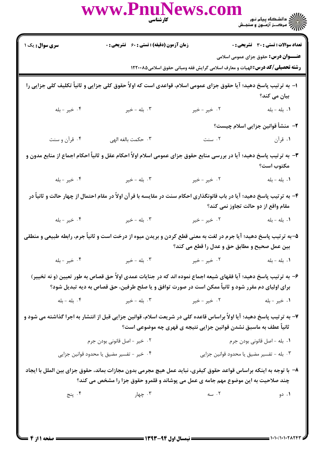|                                                                                                                                                                                                                      | www.PnuNews.col<br>كارشناسي                                                                                      |                                 | ے :<br>حکالات دانشگاہ پیام نور<br>حکالات مرکز آزمنوں و سنجش                                                                         |  |  |
|----------------------------------------------------------------------------------------------------------------------------------------------------------------------------------------------------------------------|------------------------------------------------------------------------------------------------------------------|---------------------------------|-------------------------------------------------------------------------------------------------------------------------------------|--|--|
| <b>سری سوال :</b> یک ۱                                                                                                                                                                                               | زمان آزمون (دقیقه) : تستی : 60 ٪ تشریحی : 0                                                                      |                                 | <b>تعداد سوالات : تستی : 30 ٪ تشریحی : 0</b>                                                                                        |  |  |
|                                                                                                                                                                                                                      |                                                                                                                  |                                 | <b>عنـــوان درس:</b> حقوق جزای عمومی اسلامی<br><b>رشته تحصیلی/کد درس:</b> الهیات و معارف اسلامی گرایش فقه ومبانی حقوق اسلامی۱۲۲۰۰۸۵ |  |  |
| ۱– به ترتیب پاسخ دهید؛ آیا حقوق جزای عمومی اسلام، قواعدی است که اولاً حقوق کلی جزایی و ثانیاً تکلیف کلی جزایی را                                                                                                     |                                                                                                                  |                                 |                                                                                                                                     |  |  |
| ۰۴ خیر - بله                                                                                                                                                                                                         | ۰۳ بله - خير                                                                                                     | ۰۲ خیر - خیر                    | بیان می کند؟<br>۰۱ بله - بله                                                                                                        |  |  |
|                                                                                                                                                                                                                      |                                                                                                                  |                                 | ۲–  منشأ قوانین جزایی اسلام چیست؟                                                                                                   |  |  |
| ۰۴ قرآن و سنت                                                                                                                                                                                                        | ۰۳ حکمت بالغه الهی                                                                                               |                                 | ١. قرآن مسنت                                                                                                                        |  |  |
| ۳- به ترتیب پاسخ دهید؛ آیا در بررسی منابع حقوق جزای عمومی اسلام اولاً احکام عقل و ثانیاً احکام اجماع از منابع مدون و<br>مكتوب است؟                                                                                   |                                                                                                                  |                                 |                                                                                                                                     |  |  |
| ۰۴ خير - بله                                                                                                                                                                                                         | ۰۳ بله - خیر                                                                                                     | ۰۲ خیر - خیر                    | ۰۱ بله - بله                                                                                                                        |  |  |
| ۴- به ترتیب پاسخ دهید؛ آیا در باب قانونگذاری احکام سنت در مقایسه با قرآن اولاً در مقام احتمال از چهار حالت و ثانیاً در<br>مقام واقع از دو حالت تجاوز نمی کند؟                                                        |                                                                                                                  |                                 |                                                                                                                                     |  |  |
| ۰۴ خیر - بله                                                                                                                                                                                                         | ۰۳ بله - خیر                                                                                                     | ۰۲ خیر - خیر                    | ۰۱ بله - بله                                                                                                                        |  |  |
| ۵–به ترتیب پاسخ دهید؛ آیا جرم در لغت به معنی قطع کردن و بریدن میوه از درخت است و ثانیاً جرم، رابطه طبیعی و منطقی<br>بين عمل صحيح و مطابق حق و عدل را قطع مي كند؟                                                     |                                                                                                                  |                                 |                                                                                                                                     |  |  |
| ۰۴ خير - بله                                                                                                                                                                                                         | ۰۳ بله - خیر                                                                                                     |                                 |                                                                                                                                     |  |  |
| ۶– به ترتیب پاسخ دهید؛ آیا فقهای شیعه اجماع نموده اند که در جنایات عمدی اولاً حق قصاص به طور تعیین (و نه تخییر)<br>برای اولیای دم مقرر شود و ثانیاً ممکن است در صورت توافق و یا صلح طرفین، حق قصاص به دیه تبدیل شود؟ |                                                                                                                  |                                 |                                                                                                                                     |  |  |
|                                                                                                                                                                                                                      | ۰۱ خیر - بله سال ۲۰ خیر - خیر سال ۳۰۰ بله - خیر سال ۴۰۰ بله - بله $\mathbf{f}$                                   |                                 |                                                                                                                                     |  |  |
| ۷– به ترتیب پاسخ دهید؛ آیا اولاً براساس قاعده کلی در شریعت اسلام، قوانین جزایی قبل از انتشار به اجرا گذاشته می شود و<br>ثانیاً عطف به ماسبق نشدن قوانین جزایی نتیجه ی قهری چه موضوعی است؟                            |                                                                                                                  |                                 |                                                                                                                                     |  |  |
|                                                                                                                                                                                                                      | ۰۲ خیر - اصل قانونی بودن جرم                                                                                     |                                 | ٠١. بله - اصل قانوني بودن جرم                                                                                                       |  |  |
|                                                                                                                                                                                                                      | ۰۴ خیر - تفسیر مضیق یا محدود قوانین جزایی                                                                        |                                 | ۰۳ بله – تفسیر مضیق یا محدود قوانین جزایی                                                                                           |  |  |
|                                                                                                                                                                                                                      | ۸− با توجه به اینکه براساس قواعد حقوق کیفری، نباید عمل هیچ مجرمی بدون مجازات بماند، حقوق جزای بین الملل با ایجاد |                                 |                                                                                                                                     |  |  |
|                                                                                                                                                                                                                      | چند صلاحیت به این موضوع مهم جامه ی عمل می پوشاند و قلمرو حقوق جزا را مشخص می کند؟                                |                                 |                                                                                                                                     |  |  |
|                                                                                                                                                                                                                      | بنج $\mathfrak{f}$ . پنج                                                                                         | ۰۱ دو ۲۰۰۰ تا ۲۰۰۰ سه سه در ۲۰۰ |                                                                                                                                     |  |  |
|                                                                                                                                                                                                                      |                                                                                                                  |                                 |                                                                                                                                     |  |  |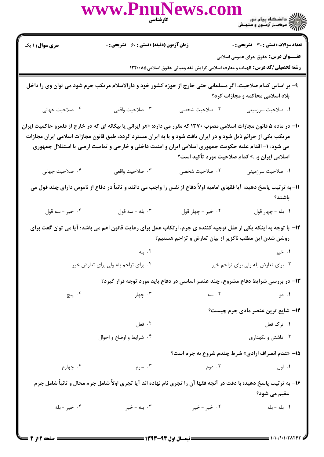|                                                                                                                                                                                                                                                                                                                                                                                                 | WWW.PnuNews.com                                                                                                        |                                                                                      |                                                         |  |
|-------------------------------------------------------------------------------------------------------------------------------------------------------------------------------------------------------------------------------------------------------------------------------------------------------------------------------------------------------------------------------------------------|------------------------------------------------------------------------------------------------------------------------|--------------------------------------------------------------------------------------|---------------------------------------------------------|--|
| <b>سری سوال :</b> ۱ یک                                                                                                                                                                                                                                                                                                                                                                          | <b>زمان آزمون (دقیقه) : تستی : 60 گشریحی : 0</b>                                                                       |                                                                                      | <b>تعداد سوالات : تستی : 30 ٪ تشریحی : 0</b>            |  |
|                                                                                                                                                                                                                                                                                                                                                                                                 |                                                                                                                        | <b>رشته تحصیلی/کد درس:</b> الهیات و معارف اسلامی گرایش فقه ومبانی حقوق اسلامی1۲۲۰۰۸۵ | <b>عنـــوان درس:</b> حقوق جزای عمومی اسلامی             |  |
|                                                                                                                                                                                                                                                                                                                                                                                                 | ۹– بر اساس کدام صلاحیت، اگر مسلمانی حتی خارج از حوزه کشور خود و دارالاسلام مرتکب جرم شود می توان وی را داخل            |                                                                                      | بلاد اسلامی محاکمه و مجازات کرد؟                        |  |
| ۰۴ صلاحیت جهانی                                                                                                                                                                                                                                                                                                                                                                                 | ۰۳ صلاحيت واقعي                                                                                                        | ٢. صلاحيت شخصي                                                                       | ٠١ صلاحيت سرزميني                                       |  |
| ∙۱- در ماده ۵ قانون مجازات اسلامی مصوب ۱۳۷۰ که مقرر می دارد: «هر ایرانی یا بیگانه ای که در خارج از قلمرو حاکمیت ایران<br>مرتکب یکی از جرائم ذیل شود و در ایران یافت شود و یا به ایران مسترد گردد، طبق قانون مجازات اسلامی ایران مجازات<br>می شود: ۱- اقدام علیه حکومت جمهوری اسلامی ایران و امنیت داخلی و خارجی و تمامیت ارضی یا استقلال جمهوری<br>اسلامی ایران و…» کدام صلاحیت مورد تأکید است؟ |                                                                                                                        |                                                                                      |                                                         |  |
| ۰۴ صلاحیت جهانی                                                                                                                                                                                                                                                                                                                                                                                 | ۰۳ صلاحيت واقعي                                                                                                        | ٢. صلاحيت شخصي                                                                       | ۰۱ صلاحیت سرزمینی                                       |  |
|                                                                                                                                                                                                                                                                                                                                                                                                 | 11- به ترتیب پاسخ دهید؛ آیا فقهای امامیه اولاً دفاع از نفس را واجب می دانند و ثانیاً در دفاع از ناموس دارای چند قول می |                                                                                      | باشند؟                                                  |  |
| ۰۴ خير - سه قول                                                                                                                                                                                                                                                                                                                                                                                 | . بله - سه قول                                                                                                         | ٠٢ خير - چهار قول                                                                    | ٠١. بله - چهار قول                                      |  |
|                                                                                                                                                                                                                                                                                                                                                                                                 | ۱۲- با توجه به اینکه یکی از علل توجیه کننده ی جرم، ارتکاب عمل برای رعایت قانون اهم می باشد؛ آیا می توان گفت برای       | روشن شدن این مطلب ناگزیر از بیان تعارض و تزاحم هستیم؟                                |                                                         |  |
|                                                                                                                                                                                                                                                                                                                                                                                                 | ۰۲ بله                                                                                                                 |                                                                                      | ۰۱ خیر                                                  |  |
|                                                                                                                                                                                                                                                                                                                                                                                                 | ۰۴ برای تزاحم بله ولی برای تعارض خیر                                                                                   |                                                                                      | ۰۳ برای تعارض بله ولی برای تزاحم خیر                    |  |
|                                                                                                                                                                                                                                                                                                                                                                                                 |                                                                                                                        | ۱۳- در بررسی شرایط دفاع مشروع، چند عنصر اساسی در دفاع باید مورد توجه قرار گیرد؟      |                                                         |  |
| ۰۴ پنج                                                                                                                                                                                                                                                                                                                                                                                          | ۰۳ چهار                                                                                                                | ۰۲ سه                                                                                | ۰۱ دو                                                   |  |
|                                                                                                                                                                                                                                                                                                                                                                                                 |                                                                                                                        |                                                                                      | <b>۱۴</b> – شایع ترین عنصر مادی جرم چیست؟               |  |
|                                                                                                                                                                                                                                                                                                                                                                                                 | ۰۲ فعل                                                                                                                 |                                                                                      | ۰۱ ترک فعل                                              |  |
|                                                                                                                                                                                                                                                                                                                                                                                                 | ۰۴ شرایط و اوضاع و احوال                                                                                               |                                                                                      | ۰۳ داشتن و نگهداری                                      |  |
|                                                                                                                                                                                                                                                                                                                                                                                                 |                                                                                                                        |                                                                                      | <b>۱۵- «عدم انصراف ارادی» شرط چندم شروع به جرم است؟</b> |  |
| ۰۴ چهارم                                                                                                                                                                                                                                                                                                                                                                                        | ۰۳ سوم                                                                                                                 | ۰۲ دوم                                                                               | ۰۱ اول                                                  |  |
| ۱۶- به ترتیب پاسخ دهید؛ با دقت در آنچه فقها آن را تجری نام نهاده اند آیا تجری اولاً شامل جرم محال و ثانیاً شامل جرم<br>عقیم می شود؟                                                                                                                                                                                                                                                             |                                                                                                                        |                                                                                      |                                                         |  |
| ۰۴ خیر - بله                                                                                                                                                                                                                                                                                                                                                                                    | ۰۳ بله - خیر                                                                                                           | ۰۲ خیر - خیر                                                                         | ۰۱ بله - بله                                            |  |
|                                                                                                                                                                                                                                                                                                                                                                                                 |                                                                                                                        |                                                                                      |                                                         |  |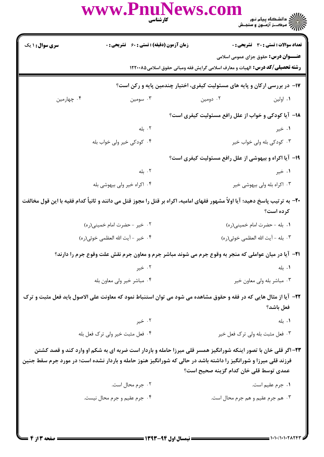|                        | www.PnuNews.col<br><b>کار شناسی</b>         |                                                                                                                                                                                                                                                                             |
|------------------------|---------------------------------------------|-----------------------------------------------------------------------------------------------------------------------------------------------------------------------------------------------------------------------------------------------------------------------------|
| <b>سری سوال : ۱ یک</b> | زمان آزمون (دقیقه) : تستی : 60 ٪ تشریحی : 0 | <b>تعداد سوالات : تستي : 30 - تشريحي : 0</b>                                                                                                                                                                                                                                |
|                        |                                             | <b>عنـــوان درس:</b> حقوق جزای عمومی اسلامی<br><b>رشته تحصیلی/کد درس:</b> الهیات و معارف اسلامی گرایش فقه ومبانی حقوق اسلامی۱۲۲۰۰۸۵                                                                                                                                         |
|                        |                                             | <b>۱۷</b> - در بررسی ارکان و پایه های مسئولیت کیفری، اختیار چندمین پایه و رکن است؟                                                                                                                                                                                          |
| ۰۴ چهارمین             | ۰۳ سومين                                    | ۰۲ دومین<br>۰۱ اولین                                                                                                                                                                                                                                                        |
|                        |                                             | <b>۱۸</b> - آیا کودکی و خواب از علل رافع مسئولیت کیفری است؟                                                                                                                                                                                                                 |
|                        | ۰۲ بله                                      | ۰۱ خیر                                                                                                                                                                                                                                                                      |
|                        | ۰۴ کودکی خیر ولی خواب بله                   | ۰۳ کودکی بله ولی خواب خیر                                                                                                                                                                                                                                                   |
|                        |                                             | ۱۹- آیا اکراه و بیهوشی از علل رافع مسئولیت کیفری است؟                                                                                                                                                                                                                       |
|                        | ۰۲ بله                                      | ۰۱ خیر                                                                                                                                                                                                                                                                      |
|                        | ۰۴ اکراه خیر ولی بیهوشی بله                 | ۰۳ اکراه بله ولی بیهوشی خیر                                                                                                                                                                                                                                                 |
|                        |                                             | +۲- به ترتیب پاسخ دهید؛ آیا اولاً مشهور فقهای امامیه، اکراه بر قتل را مجوز قتل می دانند و ثانیاً کدام فقیه با این قول مخالفت<br>کرده است؟                                                                                                                                   |
|                        | ۰۲ خیر - حضرت امام خمینی(ره)                | ۰۱ بله - حضرت امام خمینی(ره)                                                                                                                                                                                                                                                |
|                        | ۰۴ خير - آيت الله العظمى خوئي(ره)           | ٠٣ بله - آيت الله العظمى خوئي(ره)                                                                                                                                                                                                                                           |
|                        |                                             | <b>۲۱</b> - آیا در میان عواملی که منجر به وقوع جرم می شوند مباشر جرم و معاون جرم نقش علت وقوع جرم را دارند؟                                                                                                                                                                 |
|                        | ۰۲ خیر                                      | ۰۱. بله                                                                                                                                                                                                                                                                     |
|                        | ۰۴ مباشر خير ولي معاون بله                  | ۰۳ مباشر بله ولي معاون خير                                                                                                                                                                                                                                                  |
|                        |                                             | ۲۲– آیا از مثال هایی که در فقه و حقوق مشاهده می شود می توان استنباط نمود که معاونت علی الاصول باید فعل مثبت و ترک<br>فعل باشد؟                                                                                                                                              |
|                        | ۰۲ خیر                                      | ۰۱. بله                                                                                                                                                                                                                                                                     |
|                        | ۰۴ فعل مثبت خير ولي ترک فعل بله             | ۰۳ فعل مثبت بله ولي ترک فعل خير                                                                                                                                                                                                                                             |
|                        |                                             | ۲۳- اگر قلی خان با تصور اینکه شورانگیز همسر قلی میرزا حامله و باردار است ضربه ای به شکم او وارد کند و قصد کشتن<br>فرزند قلی میرزا و شورانگیز را داشته باشد در حالی که شورانگیز هنوز حامله و باردار نشده است؛ در مورد جرم سقط جنین<br>عمدی توسط قلی خان کدام گزینه صحیح است؟ |
|                        | ۰۲ جرم محال است.                            | ٠١ جرم عقيم است.                                                                                                                                                                                                                                                            |
|                        | ۴. جرم عقیم و جرم محال نیست.                | ۰۳ هم جرم عقیم و هم جرم محال است.                                                                                                                                                                                                                                           |
|                        |                                             |                                                                                                                                                                                                                                                                             |